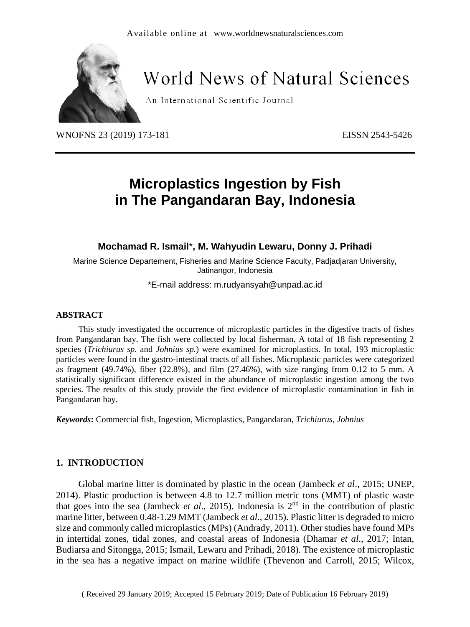

# **World News of Natural Sciences**

An International Scientific Journal

WNOFNS 23 (2019) 173-181 EISSN 2543-5426

## **Microplastics Ingestion by Fish in The Pangandaran Bay, Indonesia**

**Mochamad R. Ismail**\***, M. Wahyudin Lewaru, Donny J. Prihadi**

Marine Science Departement, Fisheries and Marine Science Faculty, Padjadjaran University, Jatinangor, Indonesia

\*E-mail address: [m.rudyansyah@unpad.ac.id](mailto:m.rudyansyah@unpad.ac.id)

#### **ABSTRACT**

This study investigated the occurrence of microplastic particles in the digestive tracts of fishes from Pangandaran bay. The fish were collected by local fisherman. A total of 18 fish representing 2 species (*Trichiurus sp.* and *Johnius sp.*) were examined for microplastics. In total, 193 microplastic particles were found in the gastro-intestinal tracts of all fishes. Microplastic particles were categorized as fragment  $(49.74\%)$ , fiber  $(22.8\%)$ , and film  $(27.46\%)$ , with size ranging from 0.12 to 5 mm. A statistically significant difference existed in the abundance of microplastic ingestion among the two species. The results of this study provide the first evidence of microplastic contamination in fish in Pangandaran bay.

*Keywords***:** Commercial fish, Ingestion, Microplastics, Pangandaran, *Trichiurus*, *Johnius*

#### **1. INTRODUCTION**

Global marine litter is dominated by plastic in the ocean (Jambeck *et al*., 2015; UNEP, 2014). Plastic production is between 4.8 to 12.7 million metric tons (MMT) of plastic waste that goes into the sea (Jambeck *et al*., 2015). Indonesia is 2nd in the contribution of plastic marine litter, between 0.48-1.29 MMT (Jambeck *et al*., 2015). Plastic litter is degraded to micro size and commonly called microplastics (MPs) (Andrady, 2011). Other studies have found MPs in intertidal zones, tidal zones, and coastal areas of Indonesia (Dhamar *et al*., 2017; Intan, Budiarsa and Sitongga, 2015; Ismail, Lewaru and Prihadi, 2018). The existence of microplastic in the sea has a negative impact on marine wildlife (Thevenon and Carroll, 2015; Wilcox,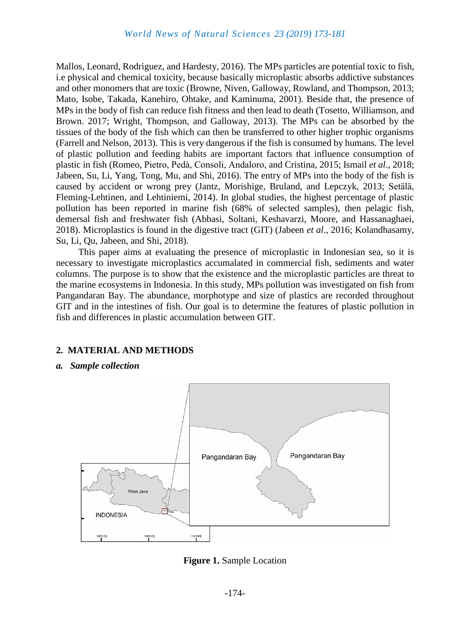Mallos, Leonard, Rodriguez, and Hardesty, 2016). The MPs particles are potential toxic to fish, i.e physical and chemical toxicity, because basically microplastic absorbs addictive substances and other monomers that are toxic (Browne, Niven, Galloway, Rowland, and Thompson, 2013; Mato, Isobe, Takada, Kanehiro, Ohtake, and Kaminuma, 2001). Beside that, the presence of MPs in the body of fish can reduce fish fitness and then lead to death (Tosetto, Williamson, and Brown. 2017; Wright, Thompson, and Galloway, 2013). The MPs can be absorbed by the tissues of the body of the fish which can then be transferred to other higher trophic organisms (Farrell and Nelson, 2013). This is very dangerous if the fish is consumed by humans. The level of plastic pollution and feeding habits are important factors that influence consumption of plastic in fish (Romeo, Pietro, Pedà, Consoli, Andaloro, and Cristina, 2015; Ismail *et al*., 2018; Jabeen, Su, Li, Yang, Tong, Mu, and Shi, 2016). The entry of MPs into the body of the fish is caused by accident or wrong prey (Jantz, Morishige, Bruland, and Lepczyk, 2013; Setälä, Fleming-Lehtinen, and Lehtiniemi, 2014). In global studies, the highest percentage of plastic pollution has been reported in marine fish (68% of selected samples), then pelagic fish, demersal fish and freshwater fish (Abbasi, Soltani, Keshavarzi, Moore, and Hassanaghaei, 2018). Microplastics is found in the digestive tract (GIT) (Jabeen *et al*., 2016; Kolandhasamy, Su, Li, Qu, Jabeen, and Shi, 2018).

This paper aims at evaluating the presence of microplastic in Indonesian sea, so it is necessary to investigate microplastics accumalated in commercial fish, sediments and water columns. The purpose is to show that the existence and the microplastic particles are threat to the marine ecosystems in Indonesia. In this study, MPs pollution was investigated on fish from Pangandaran Bay. The abundance, morphotype and size of plastics are recorded throughout GIT and in the intestines of fish. Our goal is to determine the features of plastic pollution in fish and differences in plastic accumulation between GIT.

#### **2. MATERIAL AND METHODS**

#### *a. Sample collection*



**Figure 1.** Sample Location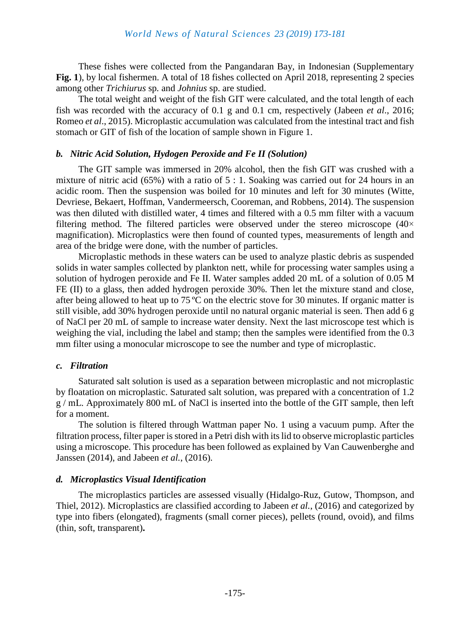These fishes were collected from the Pangandaran Bay, in Indonesian (Supplementary **Fig. 1**), by local fishermen. A total of 18 fishes collected on April 2018, representing 2 species among other *Trichiurus* sp*.* and *Johnius* sp. are studied.

The total weight and weight of the fish GIT were calculated, and the total length of each fish was recorded with the accuracy of 0.1 g and 0.1 cm, respectively (Jabeen *et al*., 2016; Romeo *et al*., 2015). Microplastic accumulation was calculated from the intestinal tract and fish stomach or GIT of fish of the location of sample shown in Figure 1.

### *b. Nitric Acid Solution, Hydogen Peroxide and Fe II (Solution)*

The GIT sample was immersed in 20% alcohol, then the fish GIT was crushed with a mixture of nitric acid (65%) with a ratio of 5 : 1. Soaking was carried out for 24 hours in an acidic room. Then the suspension was boiled for 10 minutes and left for 30 minutes (Witte, Devriese, Bekaert, Hoffman, Vandermeersch, Cooreman, and Robbens, 2014). The suspension was then diluted with distilled water, 4 times and filtered with a 0.5 mm filter with a vacuum filtering method. The filtered particles were observed under the stereo microscope  $(40 \times$ magnification). Microplastics were then found of counted types, measurements of length and area of the bridge were done, with the number of particles.

Microplastic methods in these waters can be used to analyze plastic debris as suspended solids in water samples collected by plankton nett, while for processing water samples using a solution of hydrogen peroxide and Fe II. Water samples added 20 mL of a solution of 0.05 M FE (II) to a glass, then added hydrogen peroxide 30%. Then let the mixture stand and close, after being allowed to heat up to 75 ºC on the electric stove for 30 minutes. If organic matter is still visible, add 30% hydrogen peroxide until no natural organic material is seen. Then add 6 g of NaCl per 20 mL of sample to increase water density. Next the last microscope test which is weighing the vial, including the label and stamp; then the samples were identified from the 0.3 mm filter using a monocular microscope to see the number and type of microplastic.

#### *c. Filtration*

Saturated salt solution is used as a separation between microplastic and not microplastic by floatation on microplastic. Saturated salt solution, was prepared with a concentration of 1.2 g / mL. Approximately 800 mL of NaCl is inserted into the bottle of the GIT sample, then left for a moment.

The solution is filtered through Wattman paper No. 1 using a vacuum pump. After the filtration process, filter paper is stored in a Petri dish with its lid to observe microplastic particles using a microscope. This procedure has been followed as explained by Van Cauwenberghe and Janssen (2014), and Jabeen *et al.*, (2016).

## *d. Microplastics Visual Identification*

The microplastics particles are assessed visually (Hidalgo-Ruz, Gutow, Thompson, and Thiel, 2012). Microplastics are classified according to Jabeen *et al.*, (2016) and categorized by type into fibers (elongated), fragments (small corner pieces), pellets (round, ovoid), and films (thin, soft, transparent)**.**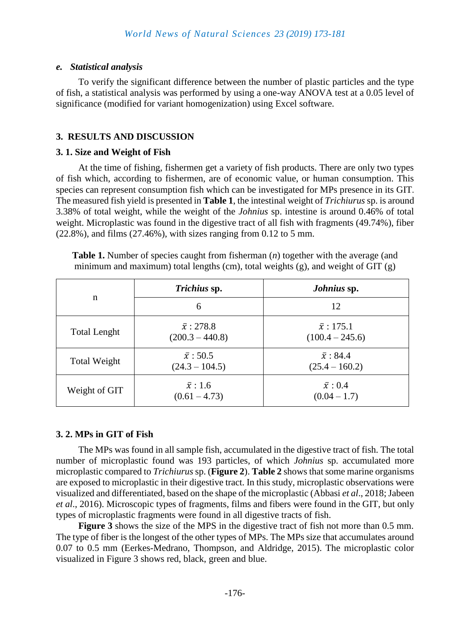## *e. Statistical analysis*

To verify the significant difference between the number of plastic particles and the type of fish, a statistical analysis was performed by using a one-way ANOVA test at a 0.05 level of significance (modified for variant homogenization) using Excel software.

## **3. RESULTS AND DISCUSSION**

## **3. 1. Size and Weight of Fish**

At the time of fishing, fishermen get a variety of fish products. There are only two types of fish which, according to fishermen, are of economic value, or human consumption. This species can represent consumption fish which can be investigated for MPs presence in its GIT. The measured fish yield is presented in **Table 1**, the intestinal weight of *Trichiurus* sp. is around 3.38% of total weight, while the weight of the *Johnius* sp. intestine is around 0.46% of total weight. Microplastic was found in the digestive tract of all fish with fragments (49.74%), fiber  $(22.8\%)$ , and films  $(27.46\%)$ , with sizes ranging from 0.12 to 5 mm.

**Table 1.** Number of species caught from fisherman (*n*) together with the average (and minimum and maximum) total lengths (cm), total weights (g), and weight of GIT (g)

|                     | Trichius sp.                           | Johnius sp.                            |
|---------------------|----------------------------------------|----------------------------------------|
| n                   | 6                                      | 12                                     |
| <b>Total Lenght</b> | $\bar{x}$ : 278.8<br>$(200.3 - 440.8)$ | $\bar{x}$ : 175.1<br>$(100.4 - 245.6)$ |
| <b>Total Weight</b> | $\bar{x}$ : 50.5<br>$(24.3 - 104.5)$   | $\bar{x}$ : 84.4<br>$(25.4 - 160.2)$   |
| Weight of GIT       | $\bar{x}:1.6$<br>$(0.61 - 4.73)$       | $\bar{x}:0.4$<br>$(0.04 - 1.7)$        |

## **3. 2. MPs in GIT of Fish**

The MPs was found in all sample fish, accumulated in the digestive tract of fish. The total number of microplastic found was 193 particles, of which *Johnius* sp. accumulated more microplastic compared to *Trichiurus* sp. (**Figure 2**). **Table 2** shows that some marine organisms are exposed to microplastic in their digestive tract. In this study, microplastic observations were visualized and differentiated, based on the shape of the microplastic (Abbasi *et al*., 2018; Jabeen *et al*., 2016). Microscopic types of fragments, films and fibers were found in the GIT, but only types of microplastic fragments were found in all digestive tracts of fish.

**Figure 3** shows the size of the MPS in the digestive tract of fish not more than 0.5 mm. The type of fiber is the longest of the other types of MPs. The MPs size that accumulates around 0.07 to 0.5 mm (Eerkes-Medrano, Thompson, and Aldridge, 2015). The microplastic color visualized in Figure 3 shows red, black, green and blue.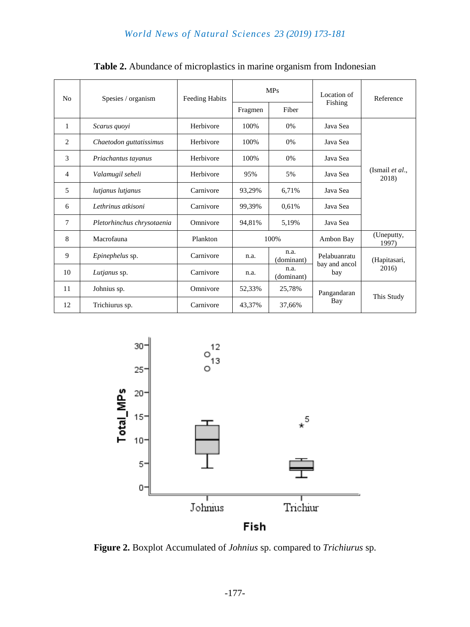| N <sub>0</sub> | Spesies / organism         | <b>Feeding Habits</b> | <b>MPs</b> |                    | Location of                          | Reference                |
|----------------|----------------------------|-----------------------|------------|--------------------|--------------------------------------|--------------------------|
|                |                            |                       | Fragmen    | Fiber              | Fishing                              |                          |
| 1              | Scarus quoyi               | Herbivore             | 100%       | 0%                 | Java Sea                             |                          |
| 2              | Chaetodon guttatissimus    | Herbivore             | 100%       | 0%                 | Java Sea                             | (Ismail et al.,<br>2018) |
| 3              | Priachantus tayanus        | Herbivore             | 100%       | 0%                 | Java Sea                             |                          |
| $\overline{4}$ | Valamugil seheli           | Herbivore             | 95%        | 5%                 | Java Sea                             |                          |
| 5              | lutjanus lutjanus          | Carnivore             | 93,29%     | 6,71%              | Java Sea                             |                          |
| 6              | Lethrinus atkisoni         | Carnivore             | 99,39%     | 0.61%              | Java Sea                             |                          |
| 7              | Pletorhinchus chrysotaenia | Omnivore              | 94,81%     | 5,19%              | Java Sea                             |                          |
| 8              | Macrofauna                 | Plankton              | 100%       |                    | Ambon Bay                            | (Uneputty,<br>1997)      |
| 9              | Epinephelus sp.            | Carnivore             | n.a.       | n.a.<br>(dominant) | Pelabuanratu<br>bay and ancol<br>bay | (Hapitasari,<br>2016)    |
| 10             | Lutjanus sp.               | Carnivore             | n.a.       | n.a.<br>(dominant) |                                      |                          |
| 11             | Johnius sp.                | Omnivore              | 52,33%     | 25,78%             | Pangandaran<br>Bay                   | This Study               |
| 12             | Trichiurus sp.             | Carnivore             | 43,37%     | 37,66%             |                                      |                          |

**Table 2.** Abundance of microplastics in marine organism from Indonesian



**Figure 2.** Boxplot Accumulated of *Johnius* sp. compared to *Trichiurus* sp.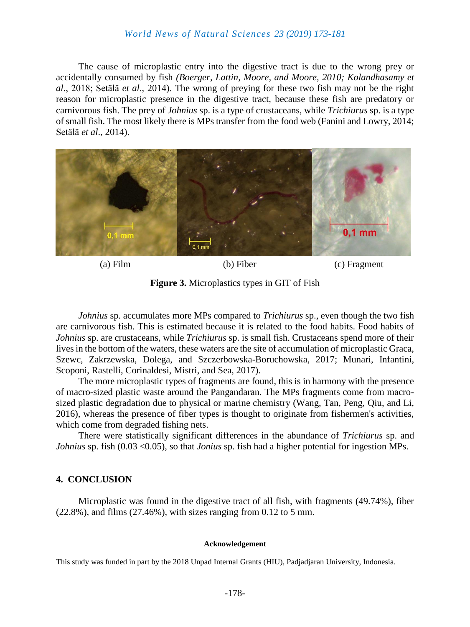The cause of microplastic entry into the digestive tract is due to the wrong prey or accidentally consumed by fish *(Boerger, Lattin, Moore, and Moore, 2010; Kolandhasamy et al*., 2018; Setälä *et al*., 2014). The wrong of preying for these two fish may not be the right reason for microplastic presence in the digestive tract, because these fish are predatory or carnivorous fish. The prey of *Johnius* sp. is a type of crustaceans, while *Trichiurus* sp. is a type of small fish. The most likely there is MPs transfer from the food web (Fanini and Lowry, 2014; Setälä *et al*., 2014).



(a) Film (b) Fiber (c) Fragment

**Figure 3.** Microplastics types in GIT of Fish

*Johnius* sp. accumulates more MPs compared to *Trichiurus* sp., even though the two fish are carnivorous fish. This is estimated because it is related to the food habits. Food habits of *Johnius* sp. are crustaceans, while *Trichiurus* sp. is small fish. Crustaceans spend more of their lives in the bottom of the waters, these waters are the site of accumulation of microplastic Graca, Szewc, Zakrzewska, Dolega, and Szczerbowska-Boruchowska, 2017; Munari, Infantini, Scoponi, Rastelli, Corinaldesi, Mistri, and Sea, 2017).

The more microplastic types of fragments are found, this is in harmony with the presence of macro-sized plastic waste around the Pangandaran. The MPs fragments come from macrosized plastic degradation due to physical or marine chemistry (Wang, Tan, Peng, Qiu, and Li, 2016), whereas the presence of fiber types is thought to originate from fishermen's activities, which come from degraded fishing nets.

There were statistically significant differences in the abundance of *Trichiurus* sp. and *Johnius sp.* fish (0.03 < 0.05), so that *Jonius sp.* fish had a higher potential for ingestion MPs.

#### **4. CONCLUSION**

Microplastic was found in the digestive tract of all fish, with fragments (49.74%), fiber  $(22.8\%)$ , and films  $(27.46\%)$ , with sizes ranging from 0.12 to 5 mm.

#### **Acknowledgement**

This study was funded in part by the 2018 Unpad Internal Grants (HIU), Padjadjaran University, Indonesia.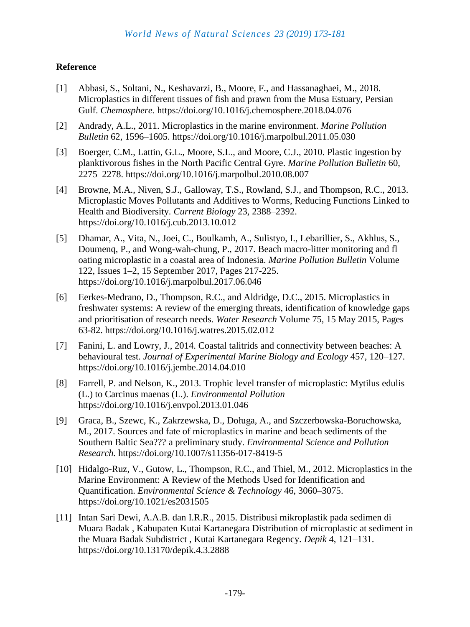## **Reference**

- [1] Abbasi, S., Soltani, N., Keshavarzi, B., Moore, F., and Hassanaghaei, M., 2018. Microplastics in different tissues of fish and prawn from the Musa Estuary, Persian Gulf. *Chemosphere.* https://doi.org/10.1016/j.chemosphere.2018.04.076
- [2] Andrady, A.L., 2011. Microplastics in the marine environment. *Marine Pollution Bulletin* 62, 1596–1605. https://doi.org/10.1016/j.marpolbul.2011.05.030
- [3] Boerger, C.M., Lattin, G.L., Moore, S.L., and Moore, C.J., 2010. Plastic ingestion by planktivorous fishes in the North Pacific Central Gyre. *Marine Pollution Bulletin* 60, 2275–2278. https://doi.org/10.1016/j.marpolbul.2010.08.007
- [4] Browne, M.A., Niven, S.J., Galloway, T.S., Rowland, S.J., and Thompson, R.C., 2013. Microplastic Moves Pollutants and Additives to Worms, Reducing Functions Linked to Health and Biodiversity. *Current Biology* 23, 2388–2392. https://doi.org/10.1016/j.cub.2013.10.012
- [5] Dhamar, A., Vita, N., Joei, C., Boulkamh, A., Sulistyo, I., Lebarillier, S., Akhlus, S., Doumenq, P., and Wong-wah-chung, P., 2017. Beach macro-litter monitoring and fl oating microplastic in a coastal area of Indonesia. *[Marine Pollution Bulletin](https://www.sciencedirect.com/science/journal/0025326X)* [Volume](https://www.sciencedirect.com/science/journal/0025326X/122/1)  [122, Issues 1–2,](https://www.sciencedirect.com/science/journal/0025326X/122/1) 15 September 2017, Pages 217-225. https://doi.org/10.1016/j.marpolbul.2017.06.046
- [6] Eerkes-Medrano, D., Thompson, R.C., and Aldridge, D.C., 2015. Microplastics in freshwater systems: A review of the emerging threats, identification of knowledge gaps and prioritisation of research needs. *Water Research* [Volume 75,](https://www.sciencedirect.com/science/journal/00431354/75/supp/C) 15 May 2015, Pages 63-82. https://doi.org/10.1016/j.watres.2015.02.012
- [7] Fanini, L. and Lowry, J., 2014. Coastal talitrids and connectivity between beaches: A behavioural test. *Journal of Experimental Marine Biology and Ecology* 457, 120–127. https://doi.org/10.1016/j.jembe.2014.04.010
- [8] Farrell, P. and Nelson, K., 2013. Trophic level transfer of microplastic: Mytilus edulis (L.) to Carcinus maenas (L.). *Environmental Pollution* https://doi.org/10.1016/j.envpol.2013.01.046
- [9] Graca, B., Szewc, K., Zakrzewska, D., Doługa, A., and Szczerbowska-Boruchowska, M., 2017. Sources and fate of microplastics in marine and beach sediments of the Southern Baltic Sea??? a preliminary study. *Environmental Science and Pollution Research.* https://doi.org/10.1007/s11356-017-8419-5
- [10] Hidalgo-Ruz, V., Gutow, L., Thompson, R.C., and Thiel, M., 2012. Microplastics in the Marine Environment: A Review of the Methods Used for Identification and Quantification. *Environmental Science & Technology* 46, 3060–3075. https://doi.org/10.1021/es2031505
- [11] Intan Sari Dewi, A.A.B. dan I.R.R., 2015. Distribusi mikroplastik pada sedimen di Muara Badak , Kabupaten Kutai Kartanegara Distribution of microplastic at sediment in the Muara Badak Subdistrict , Kutai Kartanegara Regency. *Depik* 4, 121–131. https://doi.org/10.13170/depik.4.3.2888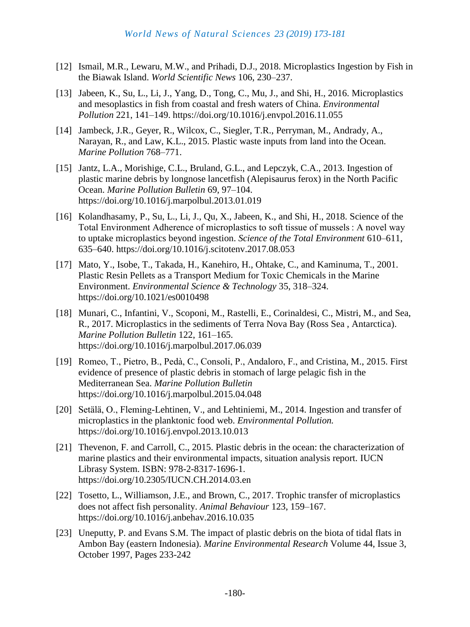- [12] Ismail, M.R., Lewaru, M.W., and Prihadi, D.J., 2018. Microplastics Ingestion by Fish in the Biawak Island. *World Scientific News* 106, 230–237.
- [13] Jabeen, K., Su, L., Li, J., Yang, D., Tong, C., Mu, J., and Shi, H., 2016. Microplastics and mesoplastics in fish from coastal and fresh waters of China. *Environmental Pollution* 221, 141–149. https://doi.org/10.1016/j.envpol.2016.11.055
- [14] Jambeck, J.R., Geyer, R., Wilcox, C., Siegler, T.R., Perryman, M., Andrady, A., Narayan, R., and Law, K.L., 2015. Plastic waste inputs from land into the Ocean. *Marine Pollution* 768–771.
- [15] Jantz, L.A., Morishige, C.L., Bruland, G.L., and Lepczyk, C.A., 2013. Ingestion of plastic marine debris by longnose lancetfish (Alepisaurus ferox) in the North Pacific Ocean. *Marine Pollution Bulletin* 69, 97–104. https://doi.org/10.1016/j.marpolbul.2013.01.019
- [16] Kolandhasamy, P., Su, L., Li, J., Qu, X., Jabeen, K., and Shi, H., 2018. Science of the Total Environment Adherence of microplastics to soft tissue of mussels : A novel way to uptake microplastics beyond ingestion. *Science of the Total Environment* 610–611, 635–640. https://doi.org/10.1016/j.scitotenv.2017.08.053
- [17] Mato, Y., Isobe, T., Takada, H., Kanehiro, H., Ohtake, C., and Kaminuma, T., 2001. Plastic Resin Pellets as a Transport Medium for Toxic Chemicals in the Marine Environment. *Environmental Science & Technology* 35, 318–324. https://doi.org/10.1021/es0010498
- [18] Munari, C., Infantini, V., Scoponi, M., Rastelli, E., Corinaldesi, C., Mistri, M., and Sea, R., 2017. Microplastics in the sediments of Terra Nova Bay (Ross Sea , Antarctica). *Marine Pollution Bulletin* 122, 161–165. https://doi.org/10.1016/j.marpolbul.2017.06.039
- [19] Romeo, T., Pietro, B., Pedà, C., Consoli, P., Andaloro, F., and Cristina, M., 2015. First evidence of presence of plastic debris in stomach of large pelagic fish in the Mediterranean Sea. *Marine Pollution Bulletin* https://doi.org/10.1016/j.marpolbul.2015.04.048
- [20] Setälä, O., Fleming-Lehtinen, V., and Lehtiniemi, M., 2014. Ingestion and transfer of microplastics in the planktonic food web. *Environmental Pollution.*  https://doi.org/10.1016/j.envpol.2013.10.013
- [21] Thevenon, F. and Carroll, C., 2015. Plastic debris in the ocean: the characterization of marine plastics and their environmental impacts, situation analysis report. IUCN Librasy System. ISBN: 978-2-8317-1696-1. https://doi.org/10.2305/IUCN.CH.2014.03.en
- [22] Tosetto, L., Williamson, J.E., and Brown, C., 2017. Trophic transfer of microplastics does not affect fish personality. *Animal Behaviour* 123, 159–167. https://doi.org/10.1016/j.anbehav.2016.10.035
- [23] Uneputty, P. and Evans S.M. The impact of plastic debris on the biota of tidal flats in Ambon Bay (eastern Indonesia). *[Marine Environmental Research](https://www.sciencedirect.com/science/journal/01411136)* [Volume 44, Issue 3,](https://www.sciencedirect.com/science/journal/01411136/44/3) October 1997, Pages 233-242